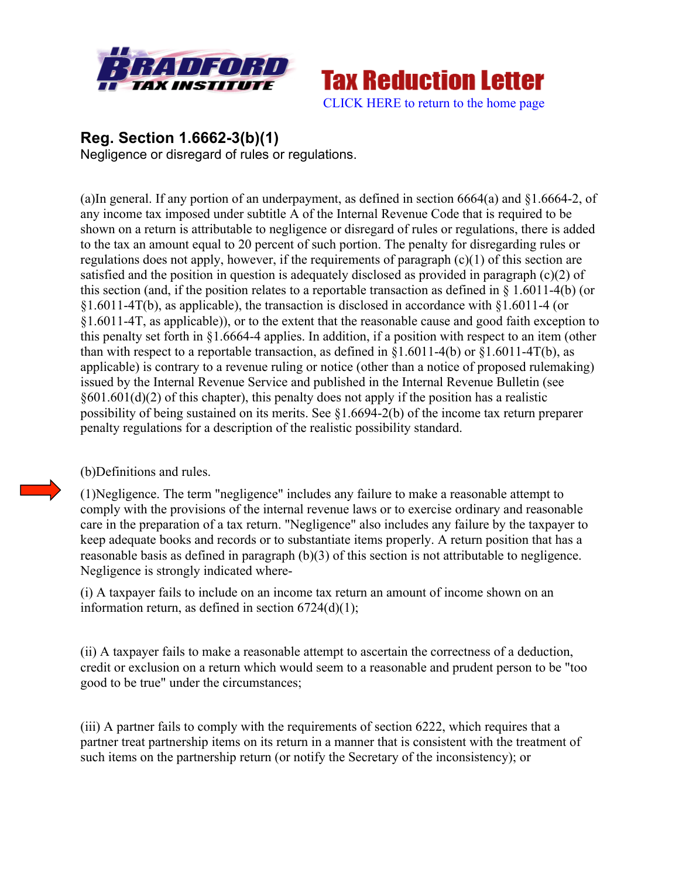



## **Reg. Section 1.6662-3(b)(1)**

Negligence or disregard of rules or regulations.

(a)In general. If any portion of an underpayment, as defined in section 6664(a) and §1.6664-2, of any income tax imposed under subtitle A of the Internal Revenue Code that is required to be shown on a return is attributable to negligence or disregard of rules or regulations, there is added to the tax an amount equal to 20 percent of such portion. The penalty for disregarding rules or regulations does not apply, however, if the requirements of paragraph (c)(1) of this section are satisfied and the position in question is adequately disclosed as provided in paragraph (c)(2) of this section (and, if the position relates to a reportable transaction as defined in § 1.6011-4(b) (or §1.6011-4T(b), as applicable), the transaction is disclosed in accordance with §1.6011-4 (or §1.6011-4T, as applicable)), or to the extent that the reasonable cause and good faith exception to this penalty set forth in §1.6664-4 applies. In addition, if a position with respect to an item (other than with respect to a reportable transaction, as defined in  $\S1.6011-4(b)$  or  $\S1.6011-4T(b)$ , as applicable) is contrary to a revenue ruling or notice (other than a notice of proposed rulemaking) issued by the Internal Revenue Service and published in the Internal Revenue Bulletin (see  $§601.601(d)(2)$  of this chapter), this penalty does not apply if the position has a realistic possibility of being sustained on its merits. See §1.6694-2(b) of the income tax return preparer penalty regulations for a description of the realistic possibility standard.

## (b)Definitions and rules.

(1)Negligence. The term "negligence" includes any failure to make a reasonable attempt to comply with the provisions of the internal revenue laws or to exercise ordinary and reasonable care in the preparation of a tax return. "Negligence" also includes any failure by the taxpayer to keep adequate books and records or to substantiate items properly. A return position that has a reasonable basis as defined in paragraph (b)(3) of this section is not attributable to negligence. Negligence is strongly indicated where-

(i) A taxpayer fails to include on an income tax return an amount of income shown on an information return, as defined in section  $6724(d)(1)$ ;

(ii) A taxpayer fails to make a reasonable attempt to ascertain the correctness of a deduction, credit or exclusion on a return which would seem to a reasonable and prudent person to be "too good to be true" under the circumstances;

(iii) A partner fails to comply with the requirements of section 6222, which requires that a partner treat partnership items on its return in a manner that is consistent with the treatment of such items on the partnership return (or notify the Secretary of the inconsistency); or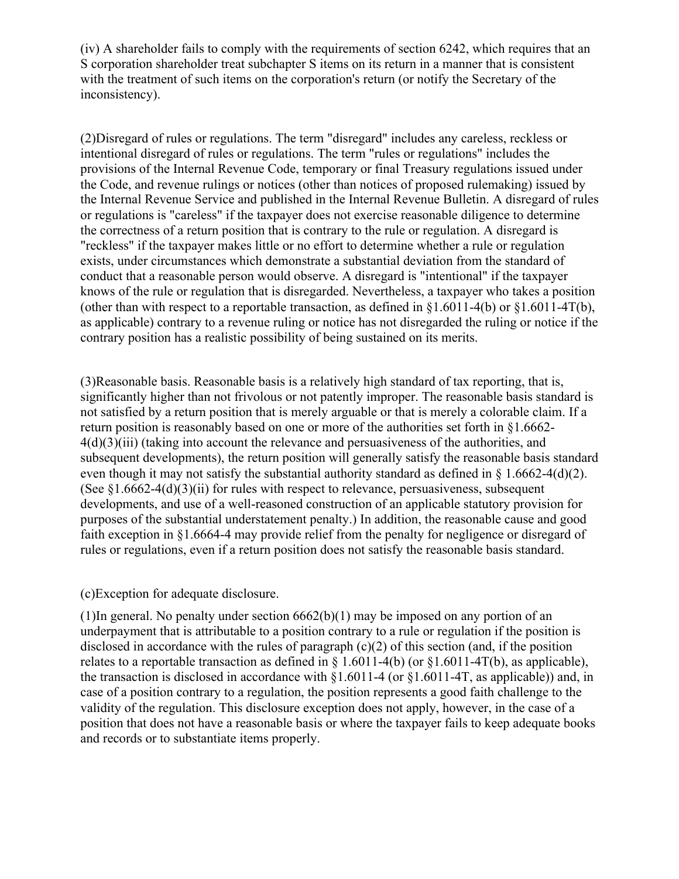(iv) A shareholder fails to comply with the requirements of section 6242, which requires that an S corporation shareholder treat subchapter S items on its return in a manner that is consistent with the treatment of such items on the corporation's return (or notify the Secretary of the inconsistency).

(2)Disregard of rules or regulations. The term "disregard" includes any careless, reckless or intentional disregard of rules or regulations. The term "rules or regulations" includes the provisions of the Internal Revenue Code, temporary or final Treasury regulations issued under the Code, and revenue rulings or notices (other than notices of proposed rulemaking) issued by the Internal Revenue Service and published in the Internal Revenue Bulletin. A disregard of rules or regulations is "careless" if the taxpayer does not exercise reasonable diligence to determine the correctness of a return position that is contrary to the rule or regulation. A disregard is "reckless" if the taxpayer makes little or no effort to determine whether a rule or regulation exists, under circumstances which demonstrate a substantial deviation from the standard of conduct that a reasonable person would observe. A disregard is "intentional" if the taxpayer knows of the rule or regulation that is disregarded. Nevertheless, a taxpayer who takes a position (other than with respect to a reportable transaction, as defined in  $\S1.6011-4(b)$  or  $\S1.6011-4T(b)$ , as applicable) contrary to a revenue ruling or notice has not disregarded the ruling or notice if the contrary position has a realistic possibility of being sustained on its merits.

(3)Reasonable basis. Reasonable basis is a relatively high standard of tax reporting, that is, significantly higher than not frivolous or not patently improper. The reasonable basis standard is not satisfied by a return position that is merely arguable or that is merely a colorable claim. If a return position is reasonably based on one or more of the authorities set forth in §1.6662- 4(d)(3)(iii) (taking into account the relevance and persuasiveness of the authorities, and subsequent developments), the return position will generally satisfy the reasonable basis standard even though it may not satisfy the substantial authority standard as defined in  $\S$  1.6662-4(d)(2). (See  $\S1.6662-4(d)(3)(ii)$  for rules with respect to relevance, persuasiveness, subsequent developments, and use of a well-reasoned construction of an applicable statutory provision for purposes of the substantial understatement penalty.) In addition, the reasonable cause and good faith exception in §1.6664-4 may provide relief from the penalty for negligence or disregard of rules or regulations, even if a return position does not satisfy the reasonable basis standard.

(c)Exception for adequate disclosure.

(1)In general. No penalty under section  $6662(b)(1)$  may be imposed on any portion of an underpayment that is attributable to a position contrary to a rule or regulation if the position is disclosed in accordance with the rules of paragraph (c)(2) of this section (and, if the position relates to a reportable transaction as defined in  $\S 1.6011-4(b)$  (or  $\S 1.6011-4T(b)$ , as applicable), the transaction is disclosed in accordance with §1.6011-4 (or §1.6011-4T, as applicable)) and, in case of a position contrary to a regulation, the position represents a good faith challenge to the validity of the regulation. This disclosure exception does not apply, however, in the case of a position that does not have a reasonable basis or where the taxpayer fails to keep adequate books and records or to substantiate items properly.